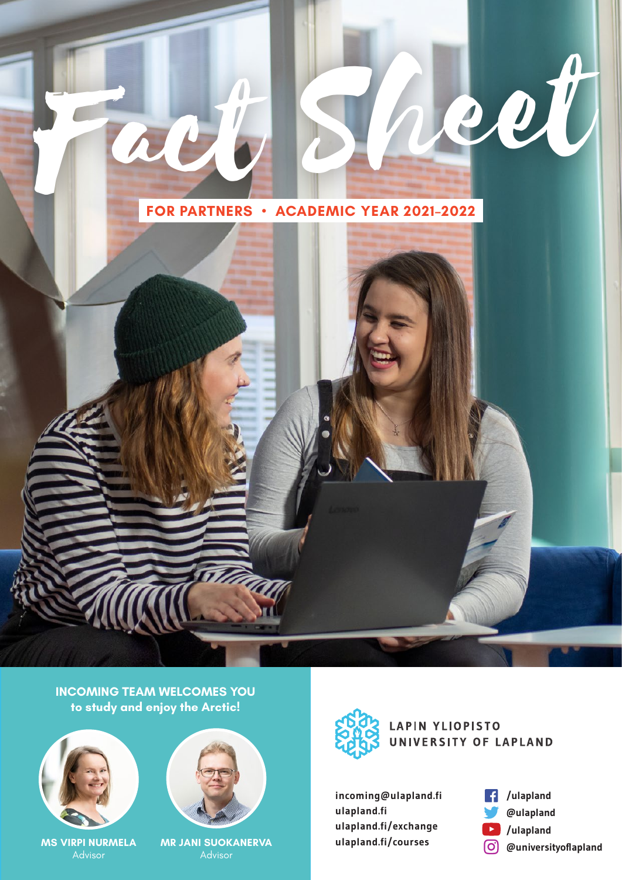

Fact Sheet

**INCOMING TEAM WELCOMES YOU to study and enjoy the Arctic!**



**MS VIRPI NURMELA** Advisor



**MR JANI SUOKANERVA and all apland.fi/courses and all approximate and advisor**  $\overline{O}$  **@universityoflapland** 



**LAPIN YLIOPISTO** UNIVERSITY OF LAPLAND

**incoming@ulapland.fi ulapland.fi ulapland.fi/exchange ulapland.fi/courses**

**/ulapland**  ∣€ **@ulapland**   $\blacktriangleright$ **/ulapland**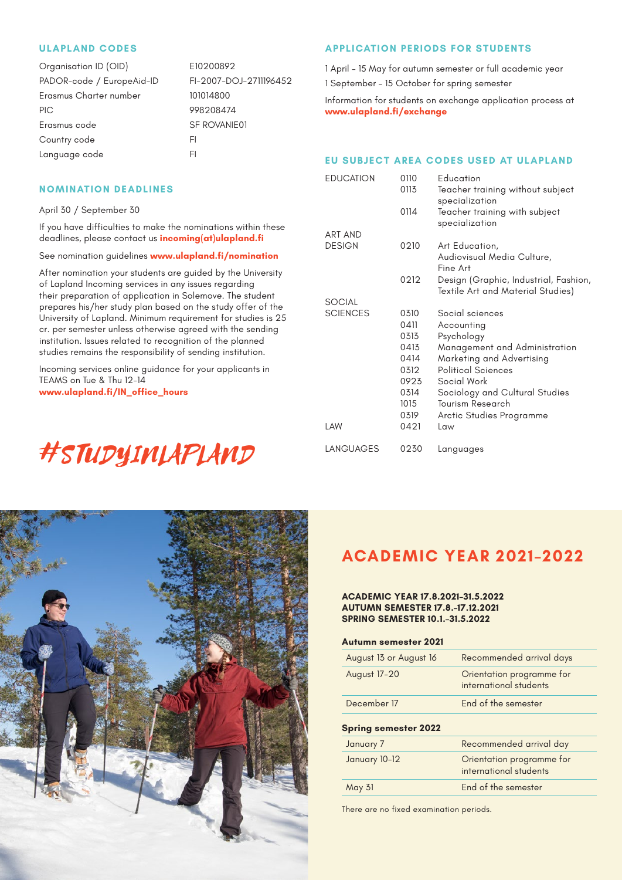# **ULAPLAND CODES**

| Organisation ID (OID)     | E10200892              |
|---------------------------|------------------------|
| PADOR-code / EuropeAid-ID | FI-2007-DOJ-2711196452 |
| Erasmus Charter number    | 101014800              |
| <b>PIC</b>                | 998208474              |
| Erasmus code              | <b>SF ROVANIE01</b>    |
| Country code              | FI.                    |
| Language code             | FI                     |

# **NOMINATION DEADLINES**

April 30 / September 30

If you have difficulties to make the nominations within these deadlines, please contact us **incoming(at)ulapland.fi**

See nomination guidelines **www.ulapland.fi/nomination**

After nomination your students are guided by the University of Lapland Incoming services in any issues regarding their preparation of application in Solemove. The student prepares his/her study plan based on the study offer of the University of Lapland. Minimum requirement for studies is 25 cr. per semester unless otherwise agreed with the sending institution. Issues related to recognition of the planned studies remains the responsibility of sending institution.

Incoming services online guidance for your applicants in TEAMS on Tue & Thu 12-14 **www.ulapland.fi/IN\_office\_hours** 

# #STUDYINLAPLAND



1 April – 15 May for autumn semester or full academic year 1 September – 15 October for spring semester

Information for students on exchange application process at **www.ulapland.fi/exchange**

# **EU SUBJECT AREA CODES USED AT ULAPLAND**

| <b>EDUCATION</b> | 0110<br>0113 | <b>Education</b><br>Teacher training without subject<br>specialization     |
|------------------|--------------|----------------------------------------------------------------------------|
|                  | 0114         | Teacher training with subject<br>specialization                            |
| <b>ART AND</b>   |              |                                                                            |
| <b>DESIGN</b>    | 0210         | Art Education,<br>Audiovisual Media Culture,<br>Fine Art                   |
|                  | 0212         | Design (Graphic, Industrial, Fashion,<br>Textile Art and Material Studies) |
| <b>SOCIAL</b>    |              |                                                                            |
| <b>SCIENCES</b>  | 0.310        | Social sciences                                                            |
|                  | 0411         | Accounting                                                                 |
|                  | 0313         | Psychology                                                                 |
|                  | 0413         | Management and Administration                                              |
|                  | 0414         | Marketing and Advertising                                                  |
|                  | 0312         | <b>Political Sciences</b>                                                  |
|                  | 0923         | Social Work                                                                |
|                  | 0314         | Sociology and Cultural Studies                                             |
|                  | 1015         | Tourism Research                                                           |
|                  | 0319         | Arctic Studies Programme                                                   |
| LAW              | 0421         | Law                                                                        |
| LANGUAGES        | 0230         | Languages                                                                  |



# **ACADEMIC YEAR 2021–2022**

#### **ACADEMIC YEAR 17.8.2021–31.5.2022 AUTUMN SEMESTER 17.8.–17.12.2021 SPRING SEMESTER 10.1.–31.5.2022**

# **Autumn semester 2021**

| August 13 or August 16      | Recommended arrival days                            |
|-----------------------------|-----------------------------------------------------|
| August 17-20                | Orientation programme for<br>international students |
| December 17                 | End of the semester                                 |
| <b>Spring semester 2022</b> |                                                     |
| January 7                   | Recommended arrival day                             |
|                             |                                                     |
| January 10-12               | Orientation programme for<br>international students |

There are no fixed examination periods.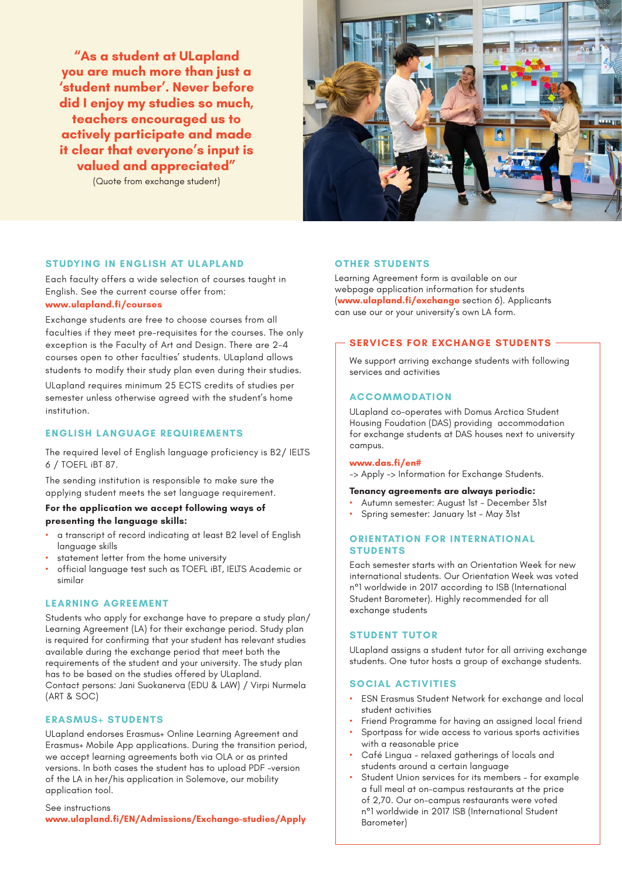**"As a student at ULapland you are much more than just a 'student number'. Never before did I enjoy my studies so much, teachers encouraged us to actively participate and made it clear that everyone's input is valued and appreciated"**

(Quote from exchange student)



# **STUDYING IN ENGLISH AT ULAPLAND**

Each faculty offers a wide selection of courses taught in English. See the current course offer from: **www.ulapland.fi/courses**

Exchange students are free to choose courses from all faculties if they meet pre-requisites for the courses. The only exception is the Faculty of Art and Design. There are 2-4 courses open to other faculties' students. ULapland allows students to modify their study plan even during their studies.

ULapland requires minimum 25 ECTS credits of studies per semester unless otherwise agreed with the student's home institution.

# **ENGLISH LANGUAGE REQUIREMENTS**

The required level of English language proficiency is B2/ IELTS 6 / TOEFL iBT 87.

The sending institution is responsible to make sure the applying student meets the set language requirement.

# **For the application we accept following ways of presenting the language skills:**

- a transcript of record indicating at least B2 level of English language skills
- statement letter from the home university
- official language test such as TOEFL iBT, IELTS Academic or similar

# **LEARNING AGREEMENT**

Students who apply for exchange have to prepare a study plan/ Learning Agreement (LA) for their exchange period. Study plan is required for confirming that your student has relevant studies available during the exchange period that meet both the requirements of the student and your university. The study plan has to be based on the studies offered by ULapland. Contact persons: Jani Suokanerva (EDU & LAW) / Virpi Nurmela (ART & SOC)

# **ERASMUS+ STUDENTS**

ULapland endorses Erasmus+ Online Learning Agreement and Erasmus+ Mobile App applications. During the transition period, we accept learning agreements both via OLA or as printed versions. In both cases the student has to upload PDF -version of the LA in her/his application in Solemove, our mobility application tool.

# See instructions

**www.ulapland.fi/EN/Admissions/Exchange-studies/Apply**

#### **OTHER STUDENTS**

Learning Agreement form is available on our webpage application information for students (**www.ulapland.fi/exchange** section 6). Applicants can use our or your university's own LA form.

#### **SERVICES FOR EXCHANGE STUDENTS**

We support arriving exchange students with following services and activities

#### **ACCOMMODATION**

ULapland co-operates with Domus Arctica Student Housing Foudation (DAS) providing accommodation for exchange students at DAS houses next to university campus.

#### **www.das.fi/en#**

-> Apply -> Information for Exchange Students.

#### **Tenancy agreements are always periodic:**

- Autumn semester: August 1st December 31st
- Spring semester: January 1st May 31st

# **ORIENTATION FOR INTERNATIONAL STUDENTS**

Each semester starts with an Orientation Week for new international students. Our Orientation Week was voted n°1 worldwide in 2017 according to ISB (International Student Barometer). Highly recommended for all exchange students

# **STUDENT TUTOR**

ULapland assigns a student tutor for all arriving exchange students. One tutor hosts a group of exchange students.

# **SOCIAL ACTIVITIES**

- ESN Erasmus Student Network for exchange and local student activities
- Friend Programme for having an assigned local friend
- Sportpass for wide access to various sports activities with a reasonable price
- Café Lingua relaxed gatherings of locals and students around a certain language
- Student Union services for its members for example a full meal at on-campus restaurants at the price of 2,70. Our on-campus restaurants were voted n°1 worldwide in 2017 ISB (International Student Barometer)